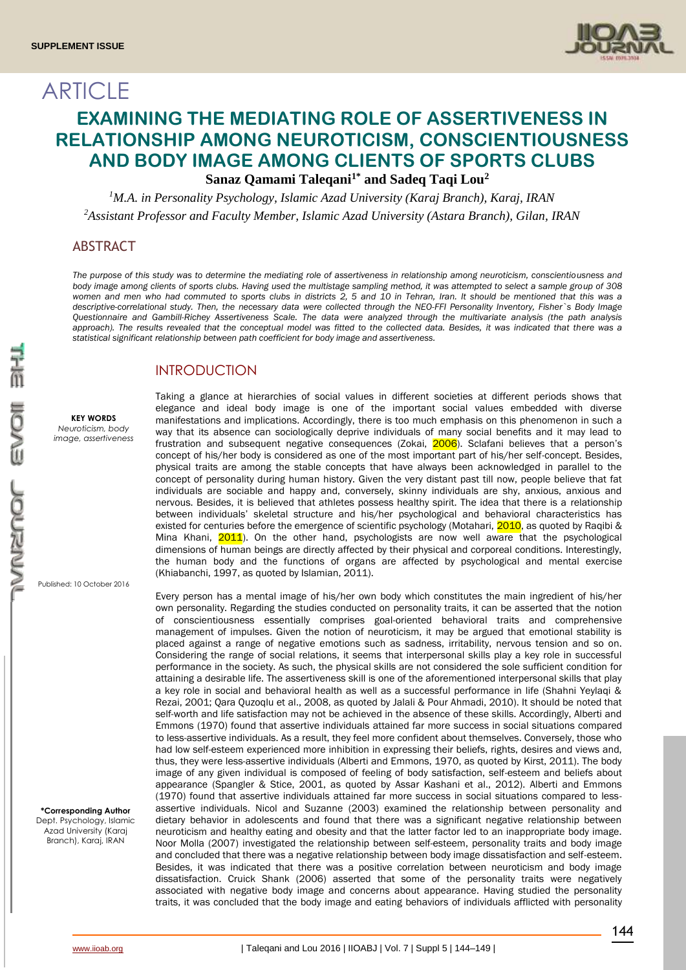**ARTICLE** 



# **EXAMINING THE MEDIATING ROLE OF ASSERTIVENESS IN RELATIONSHIP AMONG NEUROTICISM, CONSCIENTIOUSNESS AND BODY IMAGE AMONG CLIENTS OF SPORTS CLUBS Sanaz Qamami Taleqani1\* and Sadeq Taqi Lou<sup>2</sup>**

*<sup>1</sup>M.A. in Personality Psychology, Islamic Azad University (Karaj Branch), Karaj, IRAN <sup>2</sup>Assistant Professor and Faculty Member, Islamic Azad University (Astara Branch), Gilan, IRAN*

### ABSTRACT

*The purpose of this study was to determine the mediating role of assertiveness in relationship among neuroticism, conscientiousness and body image among clients of sports clubs. Having used the multistage sampling method, it was attempted to select a sample group of 308 women and men who had commuted to sports clubs in districts 2, 5 and 10 in Tehran, Iran. It should be mentioned that this was a descriptive-correlational study. Then, the necessary data were collected through the NEO-FFI Personality Inventory, Fisher`s Body Image Questionnaire and Gambill-Richey Assertiveness Scale. The data were analyzed through the multivariate analysis (the path analysis*  approach). The results revealed that the conceptual model was fitted to the collected data. Besides, it was indicated that there was a *statistical significant relationship between path coefficient for body image and assertiveness.*

# INTRODUCTION

**KEY WORDS**

*Neuroticism, body image, assertiveness*

Published: 10 October 2016

**\*Corresponding Author** Dept. Psychology, Islamic Azad University (Karaj Branch), Karaj, IRAN

Taking a glance at hierarchies of social values in different societies at different periods shows that elegance and ideal body image is one of the important social values embedded with diverse manifestations and implications. Accordingly, there is too much emphasis on this phenomenon in such a way that its absence can sociologically deprive individuals of many social benefits and it may lead to frustration and subsequent negative consequences (Zokai, 2006). Sclafani believes that a person's concept of his/her body is considered as one of the most important part of his/her self-concept. Besides, physical traits are among the stable concepts that have always been acknowledged in parallel to the concept of personality during human history. Given the very distant past till now, people believe that fat individuals are sociable and happy and, conversely, skinny individuals are shy, anxious, anxious and nervous. Besides, it is believed that athletes possess healthy spirit. The idea that there is a relationship between individuals' skeletal structure and his/her psychological and behavioral characteristics has existed for centuries before the emergence of scientific psychology (Motahari, 2010, as quoted by Raqibi & Mina Khani, 2011). On the other hand, psychologists are now well aware that the psychological dimensions of human beings are directly affected by their physical and corporeal conditions. Interestingly, the human body and the functions of organs are affected by psychological and mental exercise (Khiabanchi, 1997, as quoted by Islamian, 2011).

Every person has a mental image of his/her own body which constitutes the main ingredient of his/her own personality. Regarding the studies conducted on personality traits, it can be asserted that the notion of conscientiousness essentially comprises goal-oriented behavioral traits and comprehensive management of impulses. Given the notion of neuroticism, it may be argued that emotional stability is placed against a range of negative emotions such as sadness, irritability, nervous tension and so on. Considering the range of social relations, it seems that interpersonal skills play a key role in successful performance in the society. As such, the physical skills are not considered the sole sufficient condition for attaining a desirable life. The assertiveness skill is one of the aforementioned interpersonal skills that play a key role in social and behavioral health as well as a successful performance in life (Shahni Yeylaqi & Rezai, 2001; Qara Quzoqlu et al., 2008, as quoted by Jalali & Pour Ahmadi, 2010). It should be noted that self-worth and life satisfaction may not be achieved in the absence of these skills. Accordingly, Alberti and Emmons (1970) found that assertive individuals attained far more success in social situations compared to less-assertive individuals. As a result, they feel more confident about themselves. Conversely, those who had low self-esteem experienced more inhibition in expressing their beliefs, rights, desires and views and, thus, they were less-assertive individuals (Alberti and Emmons, 1970, as quoted by Kirst, 2011). The body image of any given individual is composed of feeling of body satisfaction, self-esteem and beliefs about appearance (Spangler & Stice, 2001, as quoted by Assar Kashani et al., 2012). Alberti and Emmons (1970) found that assertive individuals attained far more success in social situations compared to lessassertive individuals. Nicol and Suzanne (2003) examined the relationship between personality and dietary behavior in adolescents and found that there was a significant negative relationship between neuroticism and healthy eating and obesity and that the latter factor led to an inappropriate body image. Noor Molla (2007) investigated the relationship between self-esteem, personality traits and body image and concluded that there was a negative relationship between body image dissatisfaction and self-esteem. Besides, it was indicated that there was a positive correlation between neuroticism and body image dissatisfaction. Cruick Shank (2006) asserted that some of the personality traits were negatively associated with negative body image and concerns about appearance. Having studied the personality traits, it was concluded that the body image and eating behaviors of individuals afflicted with personality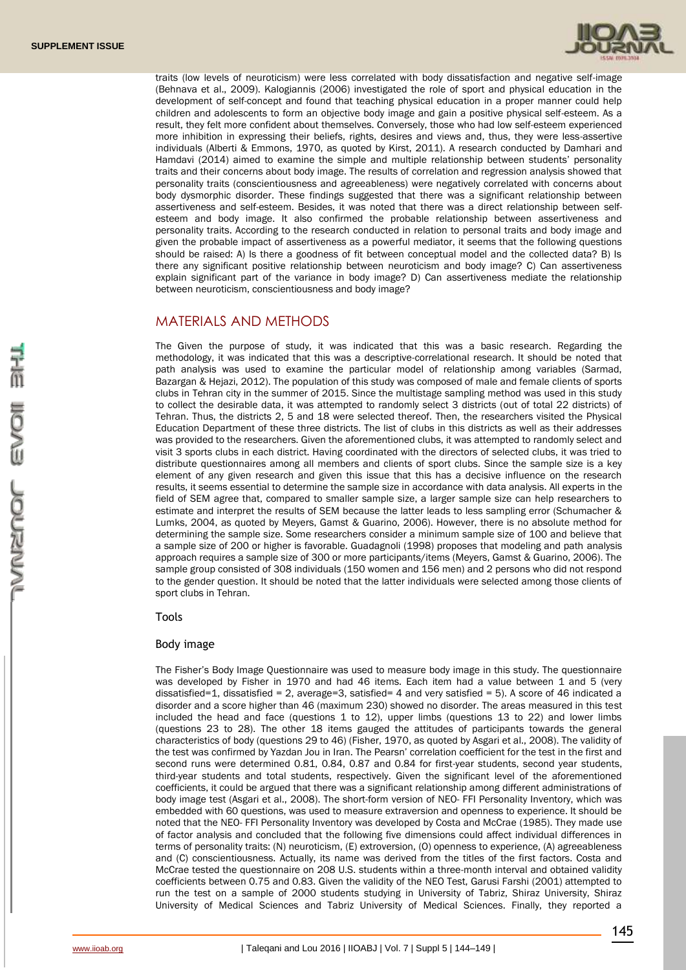

traits (low levels of neuroticism) were less correlated with body dissatisfaction and negative self-image (Behnava et al., 2009). Kalogiannis (2006) investigated the role of sport and physical education in the development of self-concept and found that teaching physical education in a proper manner could help children and adolescents to form an objective body image and gain a positive physical self-esteem. As a result, they felt more confident about themselves. Conversely, those who had low self-esteem experienced more inhibition in expressing their beliefs, rights, desires and views and, thus, they were less-assertive individuals (Alberti & Emmons, 1970, as quoted by Kirst, 2011). A research conducted by Damhari and Hamdavi (2014) aimed to examine the simple and multiple relationship between students' personality traits and their concerns about body image. The results of correlation and regression analysis showed that personality traits (conscientiousness and agreeableness) were negatively correlated with concerns about body dysmorphic disorder. These findings suggested that there was a significant relationship between assertiveness and self-esteem. Besides, it was noted that there was a direct relationship between selfesteem and body image. It also confirmed the probable relationship between assertiveness and personality traits. According to the research conducted in relation to personal traits and body image and given the probable impact of assertiveness as a powerful mediator, it seems that the following questions should be raised: A) Is there a goodness of fit between conceptual model and the collected data? B) Is there any significant positive relationship between neuroticism and body image? C) Can assertiveness explain significant part of the variance in body image? D) Can assertiveness mediate the relationship between neuroticism, conscientiousness and body image?

### MATERIALS AND METHODS

The Given the purpose of study, it was indicated that this was a basic research. Regarding the methodology, it was indicated that this was a descriptive-correlational research. It should be noted that path analysis was used to examine the particular model of relationship among variables (Sarmad, Bazargan & Hejazi, 2012). The population of this study was composed of male and female clients of sports clubs in Tehran city in the summer of 2015. Since the multistage sampling method was used in this study to collect the desirable data, it was attempted to randomly select 3 districts (out of total 22 districts) of Tehran. Thus, the districts 2, 5 and 18 were selected thereof. Then, the researchers visited the Physical Education Department of these three districts. The list of clubs in this districts as well as their addresses was provided to the researchers. Given the aforementioned clubs, it was attempted to randomly select and visit 3 sports clubs in each district. Having coordinated with the directors of selected clubs, it was tried to distribute questionnaires among all members and clients of sport clubs. Since the sample size is a key element of any given research and given this issue that this has a decisive influence on the research results, it seems essential to determine the sample size in accordance with data analysis. All experts in the field of SEM agree that, compared to smaller sample size, a larger sample size can help researchers to estimate and interpret the results of SEM because the latter leads to less sampling error (Schumacher & Lumks, 2004, as quoted by Meyers, Gamst & Guarino, 2006). However, there is no absolute method for determining the sample size. Some researchers consider a minimum sample size of 100 and believe that a sample size of 200 or higher is favorable. Guadagnoli (1998) proposes that modeling and path analysis approach requires a sample size of 300 or more participants/items (Meyers, Gamst & Guarino, 2006). The sample group consisted of 308 individuals (150 women and 156 men) and 2 persons who did not respond to the gender question. It should be noted that the latter individuals were selected among those clients of sport clubs in Tehran.

Tools

#### Body image

The Fisher's Body Image Questionnaire was used to measure body image in this study. The questionnaire was developed by Fisher in 1970 and had 46 items. Each item had a value between 1 and 5 (very dissatisfied=1, dissatisfied = 2, average=3, satisfied= 4 and very satisfied = 5). A score of 46 indicated a disorder and a score higher than 46 (maximum 230) showed no disorder. The areas measured in this test included the head and face (questions 1 to 12), upper limbs (questions 13 to 22) and lower limbs (questions 23 to 28). The other 18 items gauged the attitudes of participants towards the general characteristics of body (questions 29 to 46) (Fisher, 1970, as quoted by Asgari et al., 2008). The validity of the test was confirmed by Yazdan Jou in Iran. The Pearsn' correlation coefficient for the test in the first and second runs were determined 0.81, 0.84, 0.87 and 0.84 for first-year students, second year students, third-year students and total students, respectively. Given the significant level of the aforementioned coefficients, it could be argued that there was a significant relationship among different administrations of body image test (Asgari et al., 2008). The short-form version of NEO- FFI Personality Inventory, which was embedded with 60 questions, was used to measure extraversion and openness to experience. It should be noted that the NEO- FFI Personality Inventory was developed by Costa and McCrae (1985). They made use of factor analysis and concluded that the following five dimensions could affect individual differences in terms of personality traits: (N) neuroticism, (E) extroversion, (O) openness to experience, (A) agreeableness and (C) conscientiousness. Actually, its name was derived from the titles of the first factors. Costa and McCrae tested the questionnaire on 208 U.S. students within a three-month interval and obtained validity coefficients between 0.75 and 0.83. Given the validity of the NEO Test, Garusi Farshi (2001) attempted to run the test on a sample of 2000 students studying in University of Tabriz, Shiraz University, Shiraz University of Medical Sciences and Tabriz University of Medical Sciences. Finally, they reported a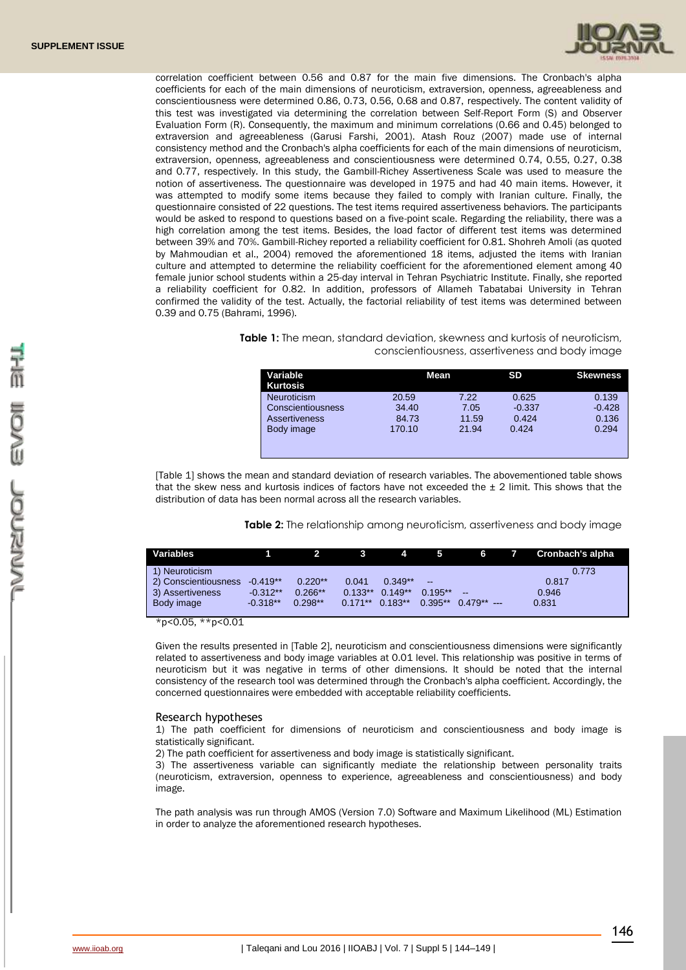

correlation coefficient between 0.56 and 0.87 for the main five dimensions. The Cronbach's alpha coefficients for each of the main dimensions of neuroticism, extraversion, openness, agreeableness and conscientiousness were determined 0.86, 0.73, 0.56, 0.68 and 0.87, respectively. The content validity of this test was investigated via determining the correlation between Self-Report Form (S) and Observer Evaluation Form (R). Consequently, the maximum and minimum correlations (0.66 and 0.45) belonged to extraversion and agreeableness (Garusi Farshi, 2001). Atash Rouz (2007) made use of internal consistency method and the Cronbach's alpha coefficients for each of the main dimensions of neuroticism, extraversion, openness, agreeableness and conscientiousness were determined 0.74, 0.55, 0.27, 0.38 and 0.77, respectively. In this study, the Gambill-Richey Assertiveness Scale was used to measure the notion of assertiveness. The questionnaire was developed in 1975 and had 40 main items. However, it was attempted to modify some items because they failed to comply with Iranian culture. Finally, the questionnaire consisted of 22 questions. The test items required assertiveness behaviors. The participants would be asked to respond to questions based on a five-point scale. Regarding the reliability, there was a high correlation among the test items. Besides, the load factor of different test items was determined between 39% and 70%. Gambill-Richey reported a reliability coefficient for 0.81. Shohreh Amoli (as quoted by Mahmoudian et al., 2004) removed the aforementioned 18 items, adjusted the items with Iranian culture and attempted to determine the reliability coefficient for the aforementioned element among 40 female junior school students within a 25-day interval in Tehran Psychiatric Institute. Finally, she reported a reliability coefficient for 0.82. In addition, professors of Allameh Tabatabai University in Tehran confirmed the validity of the test. Actually, the factorial reliability of test items was determined between 0.39 and 0.75 (Bahrami, 1996).

> **Table 1:** The mean, standard deviation, skewness and kurtosis of neuroticism, conscientiousness, assertiveness and body image

| Variable           | Mean   |       | <b>SD</b> | <b>Skewness</b> |
|--------------------|--------|-------|-----------|-----------------|
| <b>Kurtosis</b>    |        |       |           |                 |
| <b>Neuroticism</b> | 20.59  | 7.22  | 0.625     | 0.139           |
| Conscientiousness  | 34.40  | 7.05  | $-0.337$  | $-0.428$        |
| Assertiveness      | 84.73  | 11.59 | 0.424     | 0.136           |
| Body image         | 170.10 | 21.94 | 0.424     | 0.294           |
|                    |        |       |           |                 |
|                    |        |       |           |                 |

[Table 1] shows the mean and standard deviation of research variables. The abovementioned table shows that the skew ness and kurtosis indices of factors have not exceeded the  $\pm 2$  limit. This shows that the distribution of data has been normal across all the research variables.

**Table 2:** The relationship among neuroticism, assertiveness and body image

| <b>Variables</b>     |            |           |           | 4         | -5                       | 6                            | Cronbach's alpha |
|----------------------|------------|-----------|-----------|-----------|--------------------------|------------------------------|------------------|
| 1) Neuroticism       |            |           |           |           |                          |                              | 0.773            |
| 2) Conscientiousness | $-0.419**$ | $0.220**$ | 0.041     | $0.349**$ | $\overline{\phantom{m}}$ |                              | 0.817            |
| 3) Assertiveness     | $-0.312**$ | $0.266**$ | $0.133**$ | $0.149**$ | $0.195**$                | $\qquad \qquad \blacksquare$ | 0.946            |
| Body image           | $-0.318**$ | $0.298**$ | $0.171**$ | $0.183**$ |                          | $0.395**$ $0.479**$ ---      | 0.831            |
|                      |            |           |           |           |                          |                              |                  |

\*p<0.05, \*\*p<0.01

Given the results presented in [Table 2], neuroticism and conscientiousness dimensions were significantly related to assertiveness and body image variables at 0.01 level. This relationship was positive in terms of neuroticism but it was negative in terms of other dimensions. It should be noted that the internal consistency of the research tool was determined through the Cronbach's alpha coefficient. Accordingly, the concerned questionnaires were embedded with acceptable reliability coefficients.

#### Research hypotheses

1) The path coefficient for dimensions of neuroticism and conscientiousness and body image is statistically significant.

2) The path coefficient for assertiveness and body image is statistically significant.

3) The assertiveness variable can significantly mediate the relationship between personality traits (neuroticism, extraversion, openness to experience, agreeableness and conscientiousness) and body image.

The path analysis was run through AMOS (Version 7.0) Software and Maximum Likelihood (ML) Estimation in order to analyze the aforementioned research hypotheses.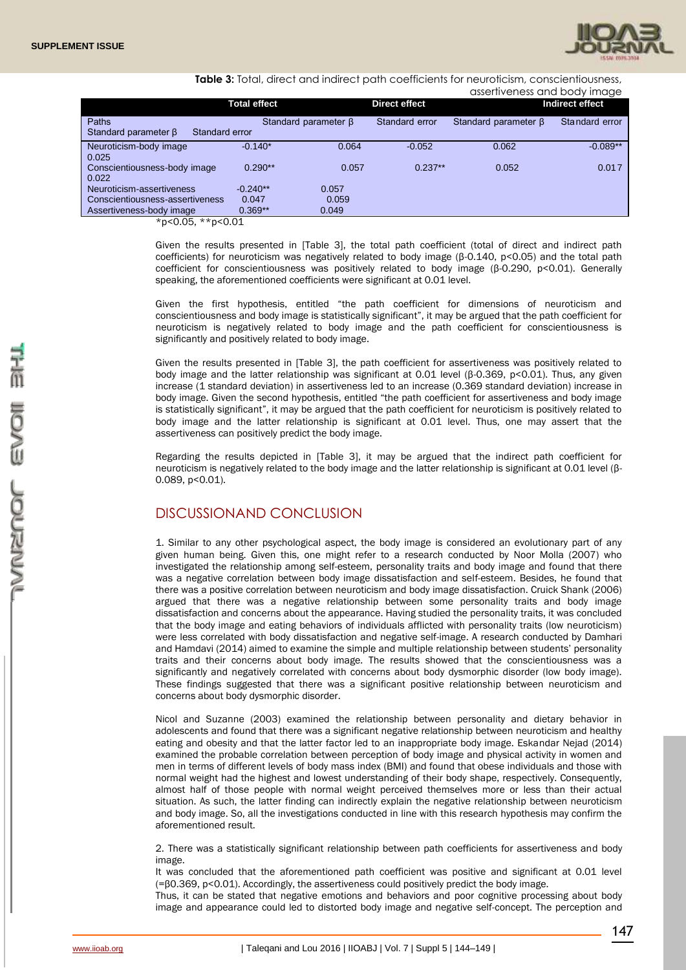

**Table 3:** Total, direct and indirect path coefficients for neuroticism, conscientiousness,

| assertiveness and hody i |  |  |
|--------------------------|--|--|
|                          |  |  |

|                                              |                     |                            |                      | assertiveness and body image |                 |
|----------------------------------------------|---------------------|----------------------------|----------------------|------------------------------|-----------------|
|                                              | <b>Total effect</b> |                            | <b>Direct effect</b> |                              | Indirect effect |
| Paths                                        |                     | Standard parameter $\beta$ | Standard error       | Standard parameter $\beta$   | Standard error  |
| Standard parameter $\beta$<br>Standard error |                     |                            |                      |                              |                 |
| Neuroticism-body image                       | $-0.140*$           | 0.064                      | $-0.052$             | 0.062                        | $-0.089**$      |
| 0.025                                        |                     |                            |                      |                              |                 |
| Conscientiousness-body image                 | $0.290**$           | 0.057                      | $0.237**$            | 0.052                        | 0.017           |
| 0.022                                        |                     |                            |                      |                              |                 |
| Neuroticism-assertiveness                    | $-0.240**$          | 0.057                      |                      |                              |                 |
| Conscientiousness-assertiveness              | 0.047               | 0.059                      |                      |                              |                 |
| Assertiveness-body image                     | $0.369**$           | 0.049                      |                      |                              |                 |
|                                              |                     |                            |                      |                              |                 |

\*p<0.05, \*\*p<0.01

Given the results presented in [Table 3], the total path coefficient (total of direct and indirect path coefficients) for neuroticism was negatively related to body image (β-0.140, p<0.05) and the total path coefficient for conscientiousness was positively related to body image (β-0.290, p<0.01). Generally speaking, the aforementioned coefficients were significant at 0.01 level.

Given the first hypothesis, entitled "the path coefficient for dimensions of neuroticism and conscientiousness and body image is statistically significant", it may be argued that the path coefficient for neuroticism is negatively related to body image and the path coefficient for conscientiousness is significantly and positively related to body image.

Given the results presented in [Table 3], the path coefficient for assertiveness was positively related to body image and the latter relationship was significant at 0.01 level (β-0.369, p<0.01). Thus, any given increase (1 standard deviation) in assertiveness led to an increase (0.369 standard deviation) increase in body image. Given the second hypothesis, entitled "the path coefficient for assertiveness and body image is statistically significant", it may be argued that the path coefficient for neuroticism is positively related to body image and the latter relationship is significant at 0.01 level. Thus, one may assert that the assertiveness can positively predict the body image.

Regarding the results depicted in [Table 3], it may be argued that the indirect path coefficient for neuroticism is negatively related to the body image and the latter relationship is significant at 0.01 level (β-0.089, p<0.01).

# DISCUSSIONAND CONCLUSION

1. Similar to any other psychological aspect, the body image is considered an evolutionary part of any given human being. Given this, one might refer to a research conducted by Noor Molla (2007) who investigated the relationship among self-esteem, personality traits and body image and found that there was a negative correlation between body image dissatisfaction and self-esteem. Besides, he found that there was a positive correlation between neuroticism and body image dissatisfaction. Cruick Shank (2006) argued that there was a negative relationship between some personality traits and body image dissatisfaction and concerns about the appearance. Having studied the personality traits, it was concluded that the body image and eating behaviors of individuals afflicted with personality traits (low neuroticism) were less correlated with body dissatisfaction and negative self-image. A research conducted by Damhari and Hamdavi (2014) aimed to examine the simple and multiple relationship between students' personality traits and their concerns about body image. The results showed that the conscientiousness was a significantly and negatively correlated with concerns about body dysmorphic disorder (low body image). These findings suggested that there was a significant positive relationship between neuroticism and concerns about body dysmorphic disorder.

Nicol and Suzanne (2003) examined the relationship between personality and dietary behavior in adolescents and found that there was a significant negative relationship between neuroticism and healthy eating and obesity and that the latter factor led to an inappropriate body image. Eskandar Nejad (2014) examined the probable correlation between perception of body image and physical activity in women and men in terms of different levels of body mass index (BMI) and found that obese individuals and those with normal weight had the highest and lowest understanding of their body shape, respectively. Consequently, almost half of those people with normal weight perceived themselves more or less than their actual situation. As such, the latter finding can indirectly explain the negative relationship between neuroticism and body image. So, all the investigations conducted in line with this research hypothesis may confirm the aforementioned result.

2. There was a statistically significant relationship between path coefficients for assertiveness and body image.

It was concluded that the aforementioned path coefficient was positive and significant at 0.01 level (=β0.369, p<0.01). Accordingly, the assertiveness could positively predict the body image.

Thus, it can be stated that negative emotions and behaviors and poor cognitive processing about body image and appearance could led to distorted body image and negative self-concept. The perception and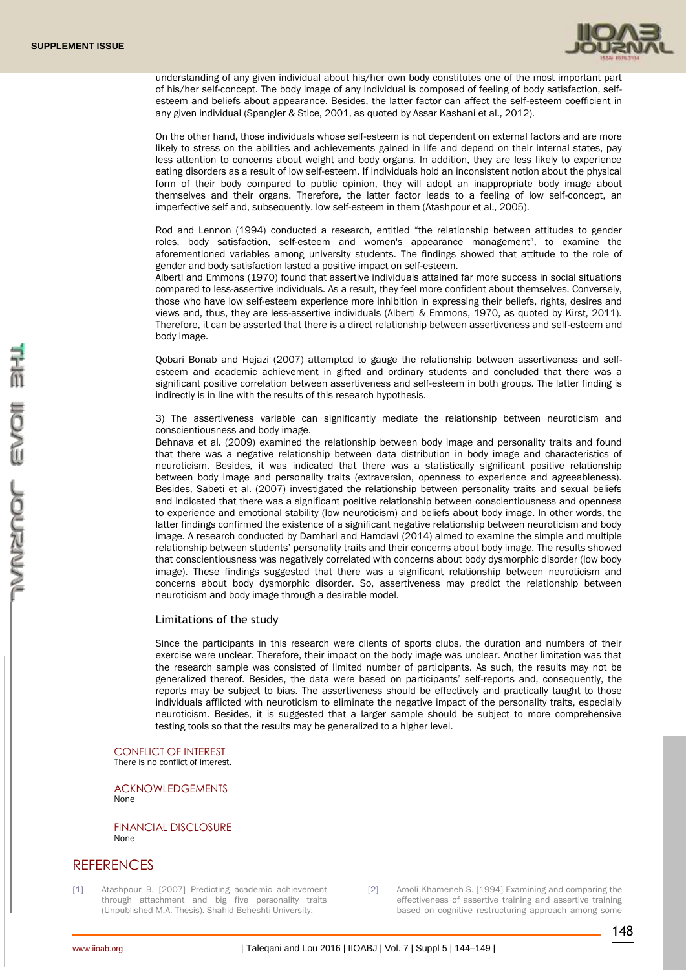

understanding of any given individual about his/her own body constitutes one of the most important part of his/her self-concept. The body image of any individual is composed of feeling of body satisfaction, selfesteem and beliefs about appearance. Besides, the latter factor can affect the self-esteem coefficient in any given individual (Spangler & Stice, 2001, as quoted by Assar Kashani et al., 2012).

On the other hand, those individuals whose self-esteem is not dependent on external factors and are more likely to stress on the abilities and achievements gained in life and depend on their internal states, pay less attention to concerns about weight and body organs. In addition, they are less likely to experience eating disorders as a result of low self-esteem. If individuals hold an inconsistent notion about the physical form of their body compared to public opinion, they will adopt an inappropriate body image about themselves and their organs. Therefore, the latter factor leads to a feeling of low self-concept, an imperfective self and, subsequently, low self-esteem in them (Atashpour et al., 2005).

Rod and Lennon (1994) conducted a research, entitled "the relationship between attitudes to gender roles, body satisfaction, self-esteem and women's appearance management", to examine the aforementioned variables among university students. The findings showed that attitude to the role of gender and body satisfaction lasted a positive impact on self-esteem.

Alberti and Emmons (1970) found that assertive individuals attained far more success in social situations compared to less-assertive individuals. As a result, they feel more confident about themselves. Conversely, those who have low self-esteem experience more inhibition in expressing their beliefs, rights, desires and views and, thus, they are less-assertive individuals (Alberti & Emmons, 1970, as quoted by Kirst, 2011). Therefore, it can be asserted that there is a direct relationship between assertiveness and self-esteem and body image.

Qobari Bonab and Hejazi (2007) attempted to gauge the relationship between assertiveness and selfesteem and academic achievement in gifted and ordinary students and concluded that there was a significant positive correlation between assertiveness and self-esteem in both groups. The latter finding is indirectly is in line with the results of this research hypothesis.

3) The assertiveness variable can significantly mediate the relationship between neuroticism and conscientiousness and body image.

Behnava et al. (2009) examined the relationship between body image and personality traits and found that there was a negative relationship between data distribution in body image and characteristics of neuroticism. Besides, it was indicated that there was a statistically significant positive relationship between body image and personality traits (extraversion, openness to experience and agreeableness). Besides, Sabeti et al. (2007) investigated the relationship between personality traits and sexual beliefs and indicated that there was a significant positive relationship between conscientiousness and openness to experience and emotional stability (low neuroticism) and beliefs about body image. In other words, the latter findings confirmed the existence of a significant negative relationship between neuroticism and body image. A research conducted by Damhari and Hamdavi (2014) aimed to examine the simple and multiple relationship between students' personality traits and their concerns about body image. The results showed that conscientiousness was negatively correlated with concerns about body dysmorphic disorder (low body image). These findings suggested that there was a significant relationship between neuroticism and concerns about body dysmorphic disorder. So, assertiveness may predict the relationship between neuroticism and body image through a desirable model.

#### Limitations of the study

Since the participants in this research were clients of sports clubs, the duration and numbers of their exercise were unclear. Therefore, their impact on the body image was unclear. Another limitation was that the research sample was consisted of limited number of participants. As such, the results may not be generalized thereof. Besides, the data were based on participants' self-reports and, consequently, the reports may be subject to bias. The assertiveness should be effectively and practically taught to those individuals afflicted with neuroticism to eliminate the negative impact of the personality traits, especially neuroticism. Besides, it is suggested that a larger sample should be subject to more comprehensive testing tools so that the results may be generalized to a higher level.

CONFLICT OF INTEREST There is no conflict of interest.

ACKNOWLEDGEMENTS None

FINANCIAL DISCLOSURE None

## **REFERENCES**

[1] Atashpour B. [2007] Predicting academic achievement through attachment and big five personality traits (Unpublished M.A. Thesis). Shahid Beheshti University.

[2] Amoli Khameneh S. [1994] Examining and comparing the effectiveness of assertive training and assertive training based on cognitive restructuring approach among some